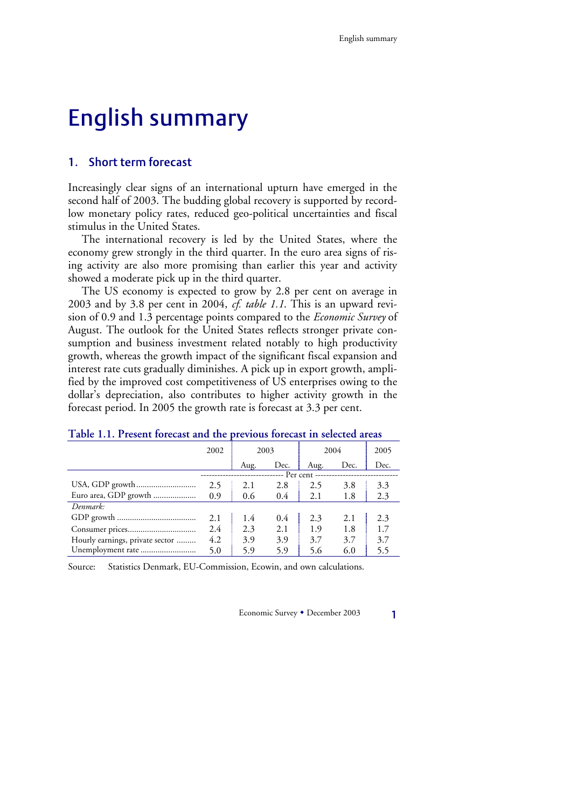# English summary

## 1. Short term forecast

Increasingly clear signs of an international upturn have emerged in the second half of 2003. The budding global recovery is supported by recordlow monetary policy rates, reduced geo-political uncertainties and fiscal stimulus in the United States.

The international recovery is led by the United States, where the economy grew strongly in the third quarter. In the euro area signs of rising activity are also more promising than earlier this year and activity showed a moderate pick up in the third quarter.

The US economy is expected to grow by 2.8 per cent on average in 2003 and by 3.8 per cent in 2004, *cf. table 1.1*. This is an upward revision of 0.9 and 1.3 percentage points compared to the *Economic Survey* of August. The outlook for the United States reflects stronger private consumption and business investment related notably to high productivity growth, whereas the growth impact of the significant fiscal expansion and interest rate cuts gradually diminishes. A pick up in export growth, amplified by the improved cost competitiveness of US enterprises owing to the dollar's depreciation, also contributes to higher activity growth in the forecast period. In 2005 the growth rate is forecast at 3.3 per cent.

|                                 | 2002 | 2003 |               | 2004 |      | 2005 |
|---------------------------------|------|------|---------------|------|------|------|
|                                 |      | Aug. | Dec.          | Aug. | Dec. | Dec. |
|                                 |      |      |               |      |      |      |
|                                 | 2.5  | 2.1  | 2.8           | 2.5  | 3.8  | 3.3  |
| Euro area, GDP growth           | 0.9  | 0.6  | $0.4^{\circ}$ | 2.1  | 1.8  | 2.3  |
| Denmark:                        |      |      |               |      |      |      |
|                                 | 2.1  | 1.4  | 0.4           | 2.3  | 2.1  | 2.3  |
|                                 | 2.4  | 2.3  | 2.1           | 1.9  | 1.8  | 1.7  |
| Hourly earnings, private sector | 4.2  | 3.9  | 3.9           | 3.7  | 3.7  | 3.7  |
| Unemployment rate               | 5.0  | 5.9  | 5.9           | 5.6  | 6.0  | 5.5  |

#### **Table 1.1. Present forecast and the previous forecast in selected areas**

Source: Statistics Denmark, EU-Commission, Ecowin, and own calculations.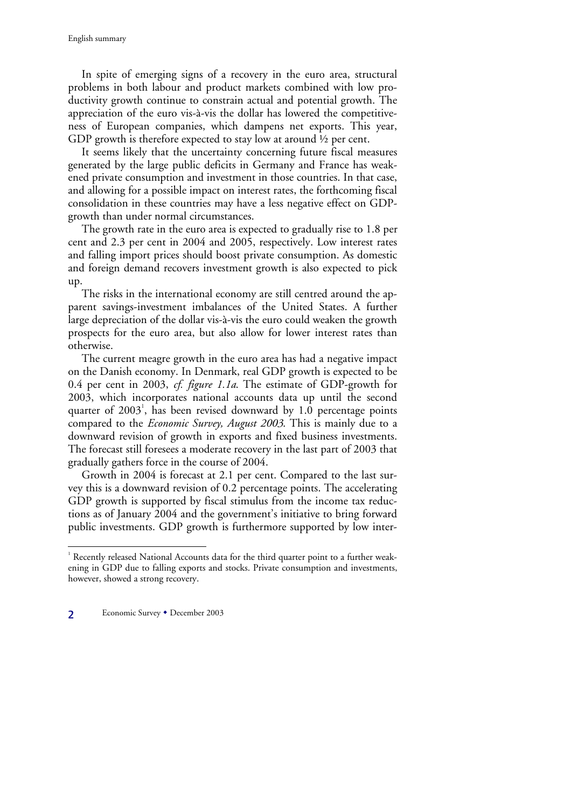In spite of emerging signs of a recovery in the euro area, structural problems in both labour and product markets combined with low productivity growth continue to constrain actual and potential growth. The appreciation of the euro vis-à-vis the dollar has lowered the competitiveness of European companies, which dampens net exports. This year, GDP growth is therefore expected to stay low at around  $\frac{1}{2}$  per cent.

It seems likely that the uncertainty concerning future fiscal measures generated by the large public deficits in Germany and France has weakened private consumption and investment in those countries. In that case, and allowing for a possible impact on interest rates, the forthcoming fiscal consolidation in these countries may have a less negative effect on GDPgrowth than under normal circumstances.

The growth rate in the euro area is expected to gradually rise to 1.8 per cent and 2.3 per cent in 2004 and 2005, respectively. Low interest rates and falling import prices should boost private consumption. As domestic and foreign demand recovers investment growth is also expected to pick up.

The risks in the international economy are still centred around the apparent savings-investment imbalances of the United States. A further large depreciation of the dollar vis-à-vis the euro could weaken the growth prospects for the euro area, but also allow for lower interest rates than otherwise.

The current meagre growth in the euro area has had a negative impact on the Danish economy. In Denmark, real GDP growth is expected to be 0.4 per cent in 2003, *cf. figure 1.1a*. The estimate of GDP-growth for 2003, which incorporates national accounts data up until the second quarter of 2003<sup>1</sup>, has been revised downward by 1.0 percentage points compared to the *Economic Survey, August 2003*. This is mainly due to a downward revision of growth in exports and fixed business investments. The forecast still foresees a moderate recovery in the last part of 2003 that gradually gathers force in the course of 2004.

Growth in 2004 is forecast at 2.1 per cent. Compared to the last survey this is a downward revision of 0.2 percentage points. The accelerating GDP growth is supported by fiscal stimulus from the income tax reductions as of January 2004 and the government's initiative to bring forward public investments. GDP growth is furthermore supported by low inter-

2 Economic Survey • December 2003

 $\overline{a}$ 

<sup>&</sup>lt;sup>1</sup> Recently released National Accounts data for the third quarter point to a further weakening in GDP due to falling exports and stocks. Private consumption and investments, however, showed a strong recovery.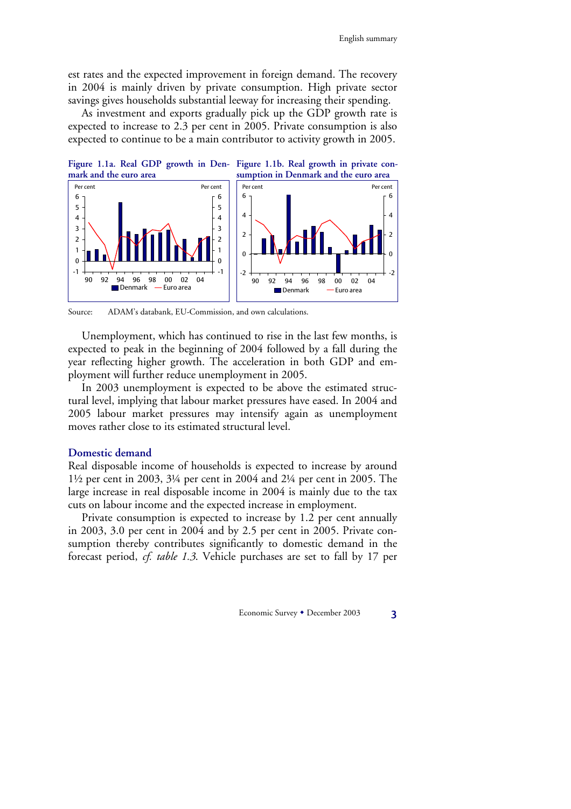est rates and the expected improvement in foreign demand. The recovery in 2004 is mainly driven by private consumption. High private sector savings gives households substantial leeway for increasing their spending.

As investment and exports gradually pick up the GDP growth rate is expected to increase to 2.3 per cent in 2005. Private consumption is also expected to continue to be a main contributor to activity growth in 2005.





Source: ADAM's databank, EU-Commission, and own calculations.

Unemployment, which has continued to rise in the last few months, is expected to peak in the beginning of 2004 followed by a fall during the year reflecting higher growth. The acceleration in both GDP and employment will further reduce unemployment in 2005.

In 2003 unemployment is expected to be above the estimated structural level, implying that labour market pressures have eased. In 2004 and 2005 labour market pressures may intensify again as unemployment moves rather close to its estimated structural level.

#### **Domestic demand**

Real disposable income of households is expected to increase by around 1½ per cent in 2003, 3¼ per cent in 2004 and 2¼ per cent in 2005. The large increase in real disposable income in 2004 is mainly due to the tax cuts on labour income and the expected increase in employment.

Private consumption is expected to increase by 1.2 per cent annually in 2003, 3.0 per cent in 2004 and by 2.5 per cent in 2005. Private consumption thereby contributes significantly to domestic demand in the forecast period, *cf. table 1.3*. Vehicle purchases are set to fall by 17 per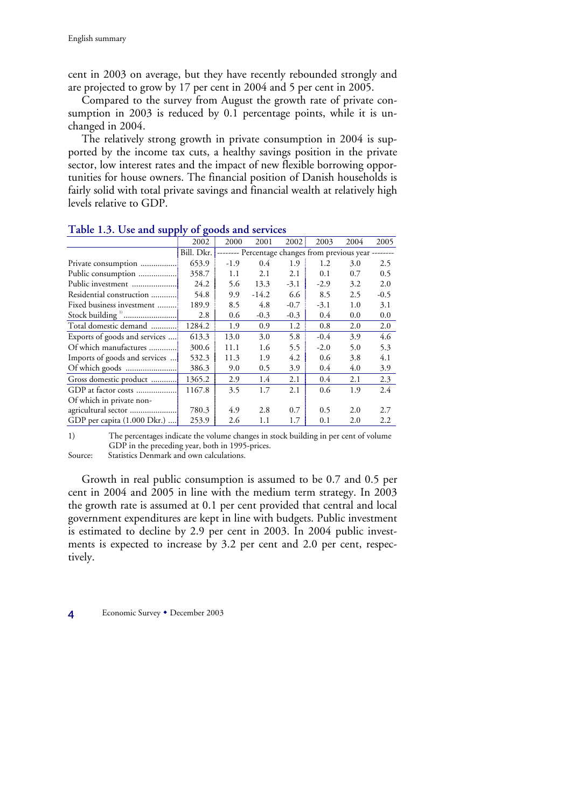cent in 2003 on average, but they have recently rebounded strongly and are projected to grow by 17 per cent in 2004 and 5 per cent in 2005.

Compared to the survey from August the growth rate of private consumption in 2003 is reduced by 0.1 percentage points, while it is unchanged in 2004.

The relatively strong growth in private consumption in 2004 is supported by the income tax cuts, a healthy savings position in the private sector, low interest rates and the impact of new flexible borrowing opportunities for house owners. The financial position of Danish households is fairly solid with total private savings and financial wealth at relatively high levels relative to GDP.

| $\bullet$                              |                  |         |        |         |      |                                                |
|----------------------------------------|------------------|---------|--------|---------|------|------------------------------------------------|
| 2002                                   | 2000             | 2001    | 2002   | 2003    | 2004 | 2005                                           |
| Bill. Dkr.                             |                  |         |        |         |      |                                                |
| 653.9                                  | $-1.9$           | 0.4     | 1.9    | 1.2     | 3.0  | 2.5                                            |
| 358.7<br>Public consumption            | 1.1              | 2.1     | 2.1    | 0.1     | 0.7  | 0.5                                            |
| 24.2                                   | 5.6              | 13.3    | $-3.1$ | $-2.9$  | 3.2  | 2.0                                            |
| 54.8<br>Residential construction       | 9.9              | $-14.2$ | 6.6    | 8.5     | 2.5  | $-0.5$                                         |
| Fixed business investment<br>189.9     | 8.5              | 4.8     | $-0.7$ | $-3.1$  | 1.0  | 3.1                                            |
| 2.8                                    | 0.6              | $-0.3$  | $-0.3$ | 0.4     | 0.0  | 0.0                                            |
| Total domestic demand<br>1284.2        | 1.9              | 0.9     | 1.2    | 0.8     | 2.0  | 2.0                                            |
| Exports of goods and services<br>613.3 | 13.0             | 3.0     | 5.8    | $-0.4$  | 3.9  | 4.6                                            |
| 300.6                                  | 11.1             | 1.6     | 5.5    | $-2.0$  | 5.0  | 5.3                                            |
| Imports of goods and services<br>532.3 | 11.3             | 1.9     | 4.2    | 0.6     | 3.8  | 4.1                                            |
| 386.3                                  | 9.0              | 0.5     | 3.9    | 0.4     | 4.0  | 3.9                                            |
| 1365.2                                 | 2.9              | 1.4     | 2.1    | $0.4\,$ | 2.1  | 2.3                                            |
| 1167.8                                 | 3.5              | 1.7     | 2.1    | 0.6     | 1.9  | 2.4                                            |
|                                        |                  |         |        |         |      |                                                |
| 780.3                                  | 4.9              | 2.8     | 0.7    | 0.5     | 2.0  | 2.7                                            |
| GDP per capita (1.000 Dkr.)<br>253.9   | 2.6              | 1.1     | 1.7    | 0.1     | 2.0  | 2.2                                            |
|                                        | Stock building " |         |        |         |      | -------- Percentage changes from previous year |

#### **Table 1.3. Use and supply of goods and services**

1) The percentages indicate the volume changes in stock building in per cent of volume GDP in the preceding year, both in 1995-prices.

Source: Statistics Denmark and own calculations.

Growth in real public consumption is assumed to be 0.7 and 0.5 per cent in 2004 and 2005 in line with the medium term strategy. In 2003 the growth rate is assumed at 0.1 per cent provided that central and local government expenditures are kept in line with budgets. Public investment is estimated to decline by 2.9 per cent in 2003. In 2004 public investments is expected to increase by 3.2 per cent and 2.0 per cent, respectively.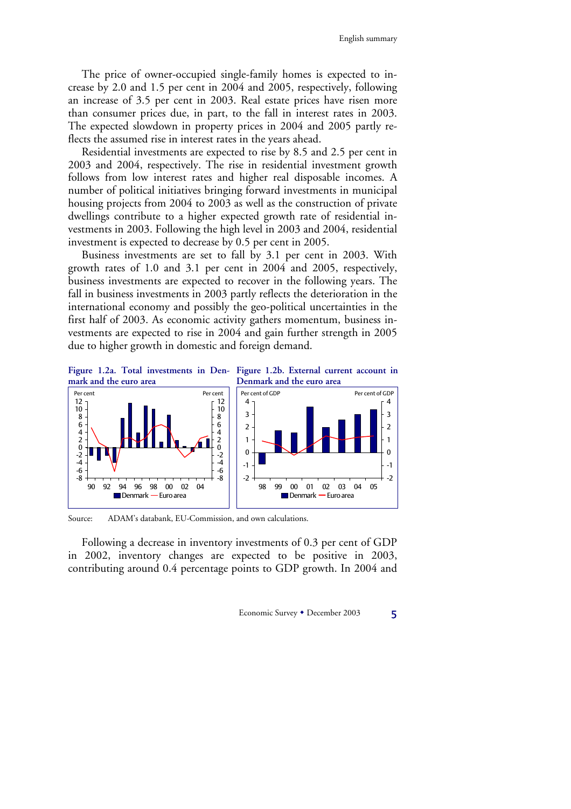The price of owner-occupied single-family homes is expected to increase by 2.0 and 1.5 per cent in 2004 and 2005, respectively, following an increase of 3.5 per cent in 2003. Real estate prices have risen more than consumer prices due, in part, to the fall in interest rates in 2003. The expected slowdown in property prices in 2004 and 2005 partly reflects the assumed rise in interest rates in the years ahead.

Residential investments are expected to rise by 8.5 and 2.5 per cent in 2003 and 2004, respectively. The rise in residential investment growth follows from low interest rates and higher real disposable incomes. A number of political initiatives bringing forward investments in municipal housing projects from 2004 to 2003 as well as the construction of private dwellings contribute to a higher expected growth rate of residential investments in 2003. Following the high level in 2003 and 2004, residential investment is expected to decrease by 0.5 per cent in 2005.

Business investments are set to fall by 3.1 per cent in 2003. With growth rates of 1.0 and 3.1 per cent in 2004 and 2005, respectively, business investments are expected to recover in the following years. The fall in business investments in 2003 partly reflects the deterioration in the international economy and possibly the geo-political uncertainties in the first half of 2003. As economic activity gathers momentum, business investments are expected to rise in 2004 and gain further strength in 2005 due to higher growth in domestic and foreign demand.





Source: ADAM's databank, EU-Commission, and own calculations.

Following a decrease in inventory investments of 0.3 per cent of GDP in 2002, inventory changes are expected to be positive in 2003, contributing around 0.4 percentage points to GDP growth. In 2004 and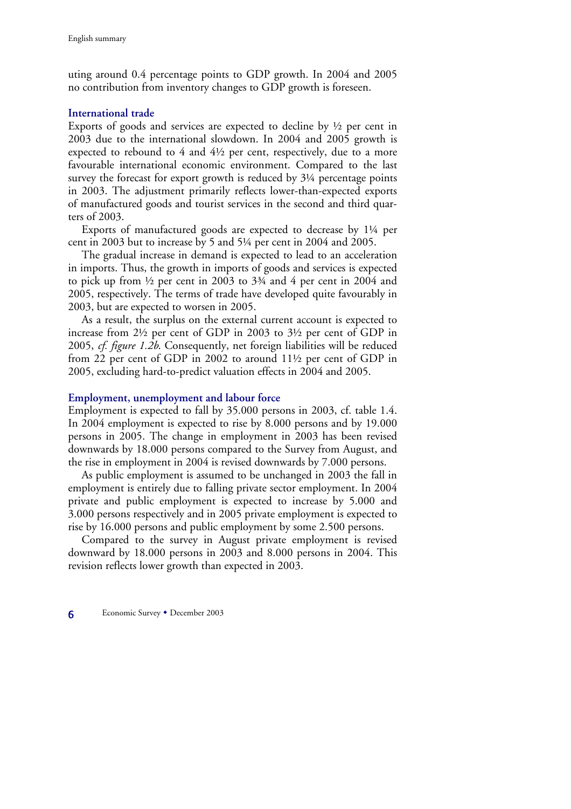uting around 0.4 percentage points to GDP growth. In 2004 and 2005 no contribution from inventory changes to GDP growth is foreseen.

#### **International trade**

Exports of goods and services are expected to decline by  $\frac{1}{2}$  per cent in 2003 due to the international slowdown. In 2004 and 2005 growth is expected to rebound to 4 and 4½ per cent, respectively, due to a more favourable international economic environment. Compared to the last survey the forecast for export growth is reduced by  $3\frac{1}{4}$  percentage points in 2003. The adjustment primarily reflects lower-than-expected exports of manufactured goods and tourist services in the second and third quarters of 2003.

Exports of manufactured goods are expected to decrease by 1¼ per cent in 2003 but to increase by 5 and 5¼ per cent in 2004 and 2005.

The gradual increase in demand is expected to lead to an acceleration in imports. Thus, the growth in imports of goods and services is expected to pick up from ½ per cent in 2003 to 3¾ and 4 per cent in 2004 and 2005, respectively. The terms of trade have developed quite favourably in 2003, but are expected to worsen in 2005.

As a result, the surplus on the external current account is expected to increase from 2½ per cent of GDP in 2003 to 3½ per cent of GDP in 2005, *cf. figure 1.2b*. Consequently, net foreign liabilities will be reduced from 22 per cent of GDP in 2002 to around 11½ per cent of GDP in 2005, excluding hard-to-predict valuation effects in 2004 and 2005.

#### **Employment, unemployment and labour force**

Employment is expected to fall by 35.000 persons in 2003, cf. table 1.4. In 2004 employment is expected to rise by 8.000 persons and by 19.000 persons in 2005. The change in employment in 2003 has been revised downwards by 18.000 persons compared to the Survey from August, and the rise in employment in 2004 is revised downwards by 7.000 persons.

As public employment is assumed to be unchanged in 2003 the fall in employment is entirely due to falling private sector employment. In 2004 private and public employment is expected to increase by 5.000 and 3.000 persons respectively and in 2005 private employment is expected to rise by 16.000 persons and public employment by some 2.500 persons.

Compared to the survey in August private employment is revised downward by 18.000 persons in 2003 and 8.000 persons in 2004. This revision reflects lower growth than expected in 2003.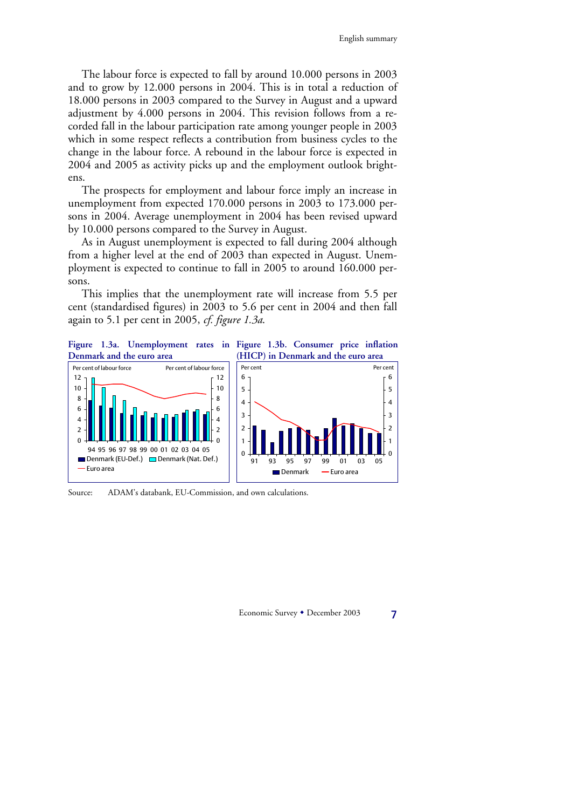The labour force is expected to fall by around 10.000 persons in 2003 and to grow by 12.000 persons in 2004. This is in total a reduction of 18.000 persons in 2003 compared to the Survey in August and a upward adjustment by 4.000 persons in 2004. This revision follows from a recorded fall in the labour participation rate among younger people in 2003 which in some respect reflects a contribution from business cycles to the change in the labour force. A rebound in the labour force is expected in 2004 and 2005 as activity picks up and the employment outlook brightens.

The prospects for employment and labour force imply an increase in unemployment from expected 170.000 persons in 2003 to 173.000 persons in 2004. Average unemployment in 2004 has been revised upward by 10.000 persons compared to the Survey in August.

As in August unemployment is expected to fall during 2004 although from a higher level at the end of 2003 than expected in August. Unemployment is expected to continue to fall in 2005 to around 160.000 persons.

This implies that the unemployment rate will increase from 5.5 per cent (standardised figures) in 2003 to 5.6 per cent in 2004 and then fall again to 5.1 per cent in 2005, *cf. figure 1.3a*.



Source: ADAM's databank, EU-Commission, and own calculations.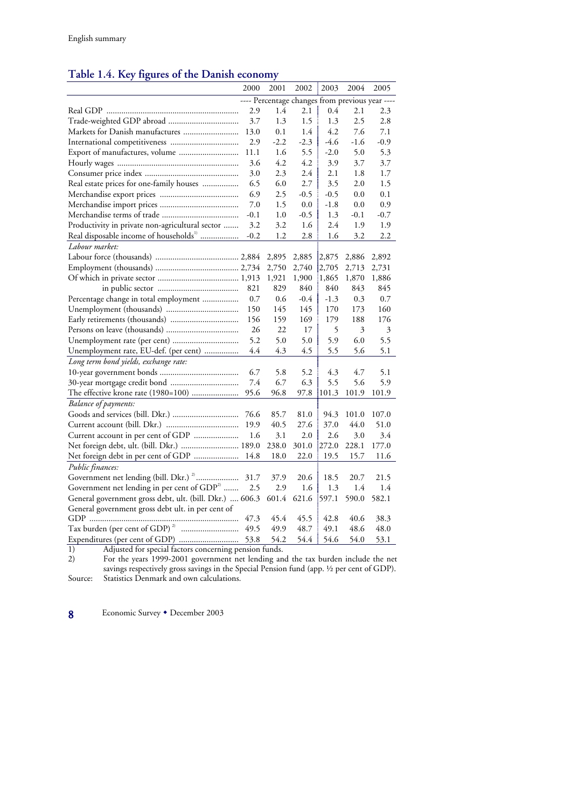# **Table 1.4. Key figures of the Danish economy**

|                                                         | 2000   | 2001   | 2002                                            | 2003   | 2004   | 2005   |
|---------------------------------------------------------|--------|--------|-------------------------------------------------|--------|--------|--------|
|                                                         |        |        | ---- Percentage changes from previous year ---- |        |        |        |
|                                                         | 2.9    | 1.4    | 2.1                                             | 0.4    | 2.1    | 2.3    |
|                                                         | 3.7    | 1.3    | 1.5                                             | 1.3    | 2.5    | 2.8    |
| Markets for Danish manufactures                         | 13.0   | 0.1    | 1.4                                             | 4.2    | 7.6    | 7.1    |
|                                                         | 2.9    | $-2.2$ | $-2.3$                                          | -4.6   | $-1.6$ | $-0.9$ |
| Export of manufactures, volume                          | 11.1   | 1.6    | 5.5                                             | $-2.0$ | 5.0    | 5.3    |
|                                                         | 3.6    | 4.2    | 4.2                                             | 3.9    | 3.7    | 3.7    |
|                                                         | 3.0    | 2.3    | 2.4                                             | 2.1    | 1.8    | 1.7    |
| Real estate prices for one-family houses                | 6.5    | 6.0    | 2.7                                             | 3.5    | 2.0    | 1.5    |
|                                                         | 6.9    | 2.5    | $-0.5$                                          | $-0.5$ | 0.0    | 0.1    |
|                                                         | 7.0    | 1.5    | 0.0                                             | $-1.8$ | 0.0    | 0.9    |
|                                                         | $-0.1$ | 1.0    | $-0.5$                                          | 1.3    | $-0.1$ | $-0.7$ |
| Productivity in private non-agricultural sector         | 3.2    | 3.2    | 1.6                                             | 2.4    | 1.9    | 1.9    |
| Real disposable income of households <sup>11</sup>      | $-0.2$ | 1.2    | 2.8                                             | 1.6    | 3.2    | 2.2    |
| Labour market:                                          |        |        |                                                 |        |        |        |
|                                                         |        | 2,895  | 2,885                                           | 2,875  | 2,886  | 2,892  |
|                                                         |        | 2,750  | 2,740                                           | 2,705  | 2,713  | 2,731  |
|                                                         |        | 1,921  | 1,900                                           | 1,865  | 1,870  | 1,886  |
|                                                         | 821    | 829    | 840                                             | 840    | 843    | 845    |
| Percentage change in total employment                   | 0.7    | 0.6    | $-0.4$                                          | $-1.3$ | 0.3    | 0.7    |
|                                                         | 150    | 145    | 145                                             | 170    | 173    | 160    |
|                                                         | 156    | 159    | 169                                             | 179    | 188    | 176    |
|                                                         | 26     | 22     | 17                                              | 5      | 3      | 3      |
| Unemployment rate (per cent)                            | 5.2    | 5.0    | 5.0                                             | 5.9    | 6.0    | 5.5    |
| Unemployment rate, EU-def. (per cent)                   | 4.4    | 4.3    | 4.5                                             | 5.5    | 5.6    | 5.1    |
| Long term bond yields, exchange rate:                   |        |        |                                                 |        |        |        |
|                                                         | 6.7    | 5.8    | 5.2                                             | 4.3    | 4.7    | 5.1    |
|                                                         | 7.4    | 6.7    | 6.3                                             | 5.5    | 5.6    | 5.9    |
| The effective krone rate (1980=100)                     | 95.6   | 96.8   | 97.8                                            | 101.3  | 101.9  | 101.9  |
| <b>Balance</b> of payments:                             |        |        |                                                 |        |        |        |
|                                                         | 76.6   | 85.7   | 81.0                                            | 94.3   | 101.0  | 107.0  |
|                                                         | 19.9   | 40.5   | 27.6                                            | 37.0   | 44.0   | 51.0   |
| Current account in per cent of GDP                      | 1.6    | 3.1    | 2.0                                             | 2.6    | 3.0    | 3.4    |
| Net foreign debt, ult. (bill. Dkr.)  189.0              |        | 238.0  | 301.0                                           | 272.0  | 228.1  | 177.0  |
| Net foreign debt in per cent of GDP                     | 14.8   | 18.0   | 22.0                                            | 19.5   | 15.7   | 11.6   |
| Public finances:                                        |        |        |                                                 |        |        |        |
| Government net lending (bill. Dkr.) <sup>2</sup>        | 31.7   | 37.9   | 20.6                                            | 18.5   | 20.7   | 21.5   |
| Government net lending in per cent of GDP <sup>2)</sup> | 2.5    | 2.9    | 1.6                                             | 1.3    | 1.4    | 1.4    |
| General government gross debt, ult. (bill. Dkr.)  606.3 |        | 601.4  | 621.6                                           | 597.1  | 590.0  | 582.1  |
| General government gross debt ult. in per cent of       |        |        |                                                 |        |        |        |
|                                                         | 47.3   | 45.4   | 45.5                                            | 42.8   | 40.6   | 38.3   |
| Tax burden (per cent of GDP) <sup>2)</sup><br>          | 49.5   | 49.9   | 48.7                                            | 49.1   | 48.6   | 48.0   |
|                                                         | 53.8   | 54.2   | 54.4                                            | 54.6   | 54.0   | 53.1   |

1) Adjusted for special factors concerning pension funds.

2) For the years 1999-2001 government net lending and the tax burden include the net savings respectively gross savings in the Special Pension fund (app. ½ per cent of GDP). Source: Statistics Denmark and own calculations.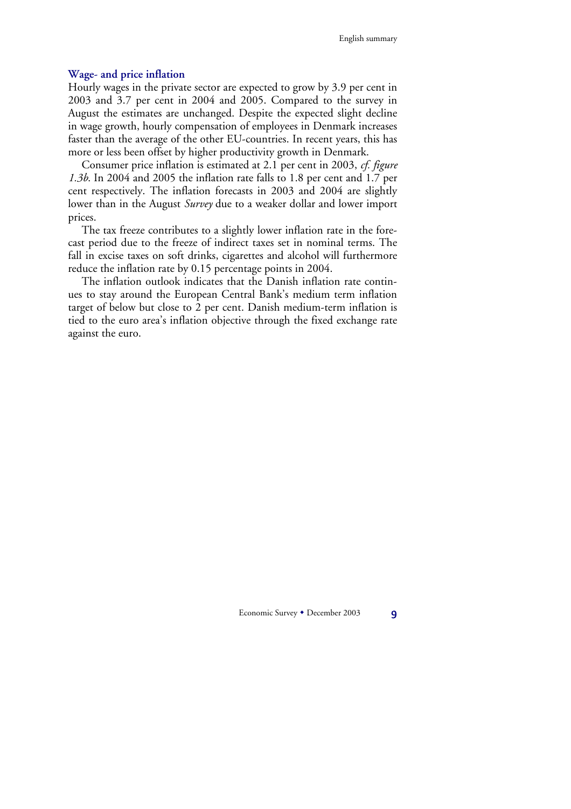#### **Wage- and price inflation**

Hourly wages in the private sector are expected to grow by 3.9 per cent in 2003 and 3.7 per cent in 2004 and 2005. Compared to the survey in August the estimates are unchanged. Despite the expected slight decline in wage growth, hourly compensation of employees in Denmark increases faster than the average of the other EU-countries. In recent years, this has more or less been offset by higher productivity growth in Denmark.

Consumer price inflation is estimated at 2.1 per cent in 2003, *cf. figure 1.3b*. In 2004 and 2005 the inflation rate falls to 1.8 per cent and 1.7 per cent respectively. The inflation forecasts in 2003 and 2004 are slightly lower than in the August *Survey* due to a weaker dollar and lower import prices.

The tax freeze contributes to a slightly lower inflation rate in the forecast period due to the freeze of indirect taxes set in nominal terms. The fall in excise taxes on soft drinks, cigarettes and alcohol will furthermore reduce the inflation rate by 0.15 percentage points in 2004.

The inflation outlook indicates that the Danish inflation rate continues to stay around the European Central Bank's medium term inflation target of below but close to 2 per cent. Danish medium-term inflation is tied to the euro area's inflation objective through the fixed exchange rate against the euro.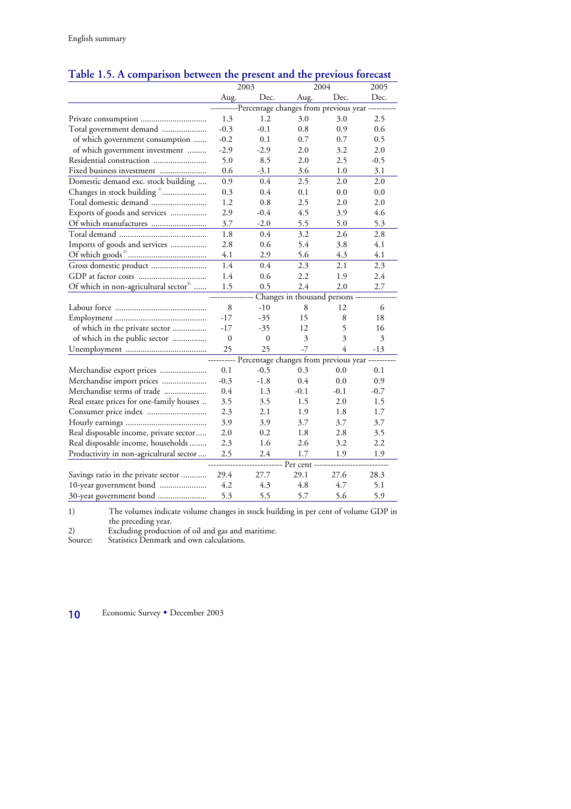|                                                   |                                  | 2003                                                   |                         | 2004           |                |  |  |
|---------------------------------------------------|----------------------------------|--------------------------------------------------------|-------------------------|----------------|----------------|--|--|
|                                                   | Aug.                             | Dec.                                                   | Aug.                    | Dec.           | 2005<br>Dec.   |  |  |
|                                                   |                                  | --Percentage changes from previous year --             |                         |                |                |  |  |
|                                                   | 1.3                              | 1.2                                                    | 3.0                     | 3.0            | 2.5            |  |  |
| Total government demand                           | $-0.3$                           | $-0.1$                                                 | $0.8\,$                 | 0.9            | 0.6            |  |  |
| of which government consumption                   | $-0.2$                           | 0.1                                                    | 0.7                     | 0.7            | 0.5            |  |  |
| of which government investment                    | $-2.9$                           | $-2.9$                                                 | 2.0                     | 3.2            | 2.0            |  |  |
| Residential construction                          | 5.0                              | 8.5                                                    | 2.0                     | 2.5            | $-0.5$         |  |  |
| Fixed business investment                         | 0.6                              | $-3.1$                                                 | 3.6                     | 1.0            | 3.1            |  |  |
| Domestic demand exc. stock building               | 0.9                              | 0.4                                                    | 2.5                     | 2.0            | 2.0            |  |  |
| Changes in stock building "                       | 0.3                              | 0.4                                                    | 0.1                     | 0.0            | 0.0            |  |  |
| Total domestic demand                             | 1.2                              | 0.8                                                    | 2.5                     | 2.0            | 2.0            |  |  |
| Exports of goods and services                     | 2.9                              | $-0.4$                                                 | 4.5                     | 3.9            | 4.6            |  |  |
|                                                   | 3.7                              | $-2.0$                                                 | 5.5                     | 5.0            | 5.3            |  |  |
|                                                   | 1.8                              | $0.4\,$                                                | 3.2                     | 2.6            | 2.8            |  |  |
| Imports of goods and services                     | 2.8                              | 0.6                                                    | 5.4                     | 3.8            | 4.1            |  |  |
|                                                   | 4.1                              | 2.9                                                    | 5.6                     | 4.3            | 4.1            |  |  |
|                                                   | 1.4                              | 0.4                                                    | 2.3                     | 2.1            | 2.3            |  |  |
|                                                   | 1.4                              | 0.6                                                    | 2.2                     | 1.9            | 2.4            |  |  |
| Of which in non-agricultural sector <sup>33</sup> | 1.5                              | 0.5                                                    | 2.4                     | 2.0            | 2.7            |  |  |
|                                                   | Changes in thousand persons ---- |                                                        |                         |                |                |  |  |
|                                                   | 8                                | $-10$                                                  | 8                       | 12             | 6              |  |  |
|                                                   | $-17$                            | $-35$                                                  | 15                      | 8              | 18             |  |  |
| of which in the private sector                    | $-17$                            | $-35$                                                  | 12                      | 5              | 16             |  |  |
| of which in the public sector                     | $\boldsymbol{0}$                 | $\boldsymbol{0}$                                       | $\overline{\mathbf{3}}$ | 3              | $\mathfrak{Z}$ |  |  |
|                                                   | 25                               | 25                                                     | $-7$                    | $\overline{4}$ | $-13$          |  |  |
|                                                   |                                  | --------- Percentage changes from previous year ------ |                         |                |                |  |  |
| Merchandise export prices                         | 0.1                              | $-0.5$                                                 | 0.3                     | 0.0            | 0.1            |  |  |
| Merchandise import prices                         | $-0.3$                           | $-1.8$                                                 | 0.4                     | 0.0            | 0.9            |  |  |
| Merchandise terms of trade                        | 0.4                              | 1.3                                                    | $-0.1$                  | $-0.1$         | $-0.7$         |  |  |
| Real estate prices for one-family houses          | 3.5                              | 3.5                                                    | 1.5                     | 2.0            | 1.5            |  |  |
|                                                   | 2.3                              | 2.1                                                    | 1.9                     | 1.8            | 1.7            |  |  |
|                                                   | 3.9                              | 3.9                                                    | 3.7                     | 3.7            | 3.7            |  |  |
| Real disposable income, private sector            | 2.0                              | 0.2                                                    | 1.8                     | 2.8            | 3.5            |  |  |
| Real disposable income, households                | 2.3                              | 1.6                                                    | 2.6                     | 3.2            | 2.2            |  |  |
| Productivity in non-agricultural sector           | 2.5                              | 2.4                                                    | 1.7                     | 1.9            | 1.9            |  |  |
|                                                   |                                  |                                                        | Per cent -              |                |                |  |  |
| Savings ratio in the private sector               | 29.4                             | 27.7                                                   | 29.1                    | 27.6           | 28.3           |  |  |
| 10-year government bond                           | 4.2                              | 4.3                                                    | 4.8                     | 4.7            | 5.1            |  |  |
| 30-yeat government bond                           | 5.3                              | 5.5                                                    | 5.7                     | 5.6            | 5.9            |  |  |

# **Table 1.5. A comparison between the present and the previous forecast**

1)The volumes indicate volume changes in stock building in per cent of volume GDP in the preceding year.

2) Excluding production of oil and gas and maritime.

Source: Statistics Denmark and own calculations.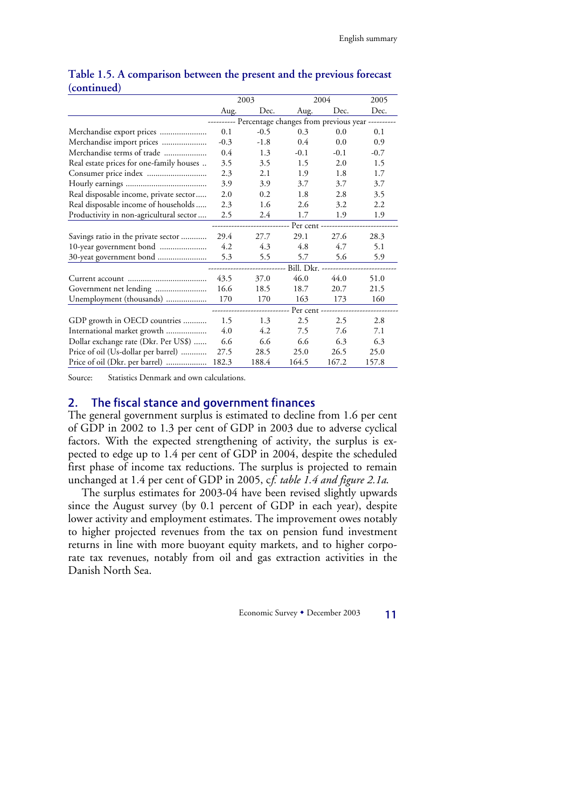|                                          | 2003                                                       |        | 2004    |        | 2005   |  |
|------------------------------------------|------------------------------------------------------------|--------|---------|--------|--------|--|
|                                          | Aug.                                                       | Dec.   | Aug.    | Dec.   | Dec.   |  |
|                                          | --------- Percentage changes from previous year ---------- |        |         |        |        |  |
| Merchandise export prices                | 0.1                                                        | $-0.5$ | 0.3     | 0.0    | 0.1    |  |
|                                          | $-0.3$                                                     | $-1.8$ | $0.4\,$ | 0.0    | 0.9    |  |
| Merchandise terms of trade               | 0.4                                                        | 1.3    | $-0.1$  | $-0.1$ | $-0.7$ |  |
| Real estate prices for one-family houses | 3.5                                                        | 3.5    | 1.5     | 2.0    | 1.5    |  |
|                                          | 2.3                                                        | 2.1    | 1.9     | 1.8    | 1.7    |  |
|                                          | 3.9                                                        | 3.9    | 3.7     | 3.7    | 3.7    |  |
| Real disposable income, private sector   | 2.0                                                        | 0.2    | 1.8     | 2.8    | 3.5    |  |
| Real disposable income of households     | 2.3                                                        | 1.6    | 2.6     | 3.2    | 2.2    |  |
| Productivity in non-agricultural sector  | 2.5                                                        | 2.4    | 1.7     | 1.9    | 1.9    |  |
|                                          | Per cent -----------                                       |        |         |        |        |  |
| Savings ratio in the private sector      | 29.4                                                       | 27.7   | 29.1    | 27.6   | 28.3   |  |
|                                          | 4.2                                                        | 4.3    | 4.8     | 4.7    | 5.1    |  |
| 30-yeat government bond                  | 5.3                                                        | 5.5    | 5.7     | 5.6    | 5.9    |  |
|                                          |                                                            |        |         |        |        |  |
|                                          | 43.5                                                       | 37.0   | 46.0    | 44.0   | 51.0   |  |
|                                          | 16.6                                                       | 18.5   | 18.7    | 20.7   | 21.5   |  |
| Unemployment (thousands)                 | 170                                                        | 170    | 163     | 173    | 160    |  |
|                                          | Per cent ----------------                                  |        |         |        |        |  |
| GDP growth in OECD countries             | 1.5                                                        | 1.3    | 2.5     | 2.5    | 2.8    |  |
| International market growth              | 4.0                                                        | 4.2    | 7.5     | 7.6    | 7.1    |  |
| Dollar exchange rate (Dkr. Per US\$)     | 6.6                                                        | 6.6    | 6.6     | 6.3    | 6.3    |  |
| Price of oil (Us-dollar per barrel)      | 27.5                                                       | 28.5   | 25.0    | 26.5   | 25.0   |  |
|                                          | 182.3                                                      | 188.4  | 164.5   | 167.2  | 157.8  |  |

## **Table 1.5. A comparison between the present and the previous forecast (continued)**

Source: Statistics Denmark and own calculations.

### 2. The fiscal stance and government finances

The general government surplus is estimated to decline from 1.6 per cent of GDP in 2002 to 1.3 per cent of GDP in 2003 due to adverse cyclical factors. With the expected strengthening of activity, the surplus is expected to edge up to 1.4 per cent of GDP in 2004, despite the scheduled first phase of income tax reductions. The surplus is projected to remain unchanged at 1.4 per cent of GDP in 2005, c*f. table 1.4 and figure 2.1a*.

The surplus estimates for 2003-04 have been revised slightly upwards since the August survey (by 0.1 percent of GDP in each year), despite lower activity and employment estimates. The improvement owes notably to higher projected revenues from the tax on pension fund investment returns in line with more buoyant equity markets, and to higher corporate tax revenues, notably from oil and gas extraction activities in the Danish North Sea.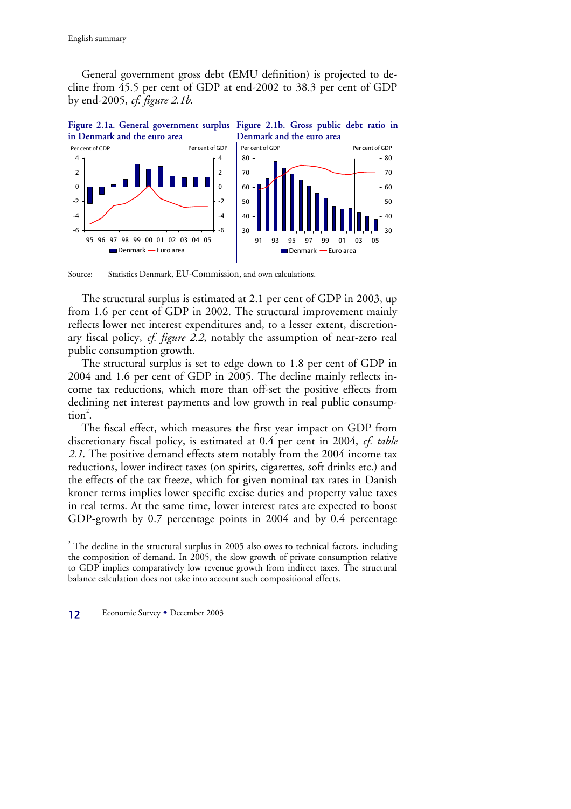General government gross debt (EMU definition) is projected to decline from 45.5 per cent of GDP at end-2002 to 38.3 per cent of GDP by end-2005, *cf. figure 2.1b*.



Source: Statistics Denmark, EU-Commission, and own calculations.

The structural surplus is estimated at 2.1 per cent of GDP in 2003, up from 1.6 per cent of GDP in 2002. The structural improvement mainly reflects lower net interest expenditures and, to a lesser extent, discretionary fiscal policy, *cf. figure 2.2*, notably the assumption of near-zero real public consumption growth.

The structural surplus is set to edge down to 1.8 per cent of GDP in 2004 and 1.6 per cent of GDP in 2005. The decline mainly reflects income tax reductions, which more than off-set the positive effects from declining net interest payments and low growth in real public consump- $\text{tion}^2$ .

The fiscal effect, which measures the first year impact on GDP from discretionary fiscal policy, is estimated at 0.4 per cent in 2004, *cf. table 2.1*. The positive demand effects stem notably from the 2004 income tax reductions, lower indirect taxes (on spirits, cigarettes, soft drinks etc.) and the effects of the tax freeze, which for given nominal tax rates in Danish kroner terms implies lower specific excise duties and property value taxes in real terms. At the same time, lower interest rates are expected to boost GDP-growth by 0.7 percentage points in 2004 and by 0.4 percentage

 $2^2$  The decline in the structural surplus in 2005 also owes to technical factors, including the composition of demand. In 2005, the slow growth of private consumption relative to GDP implies comparatively low revenue growth from indirect taxes. The structural balance calculation does not take into account such compositional effects.



 $\overline{a}$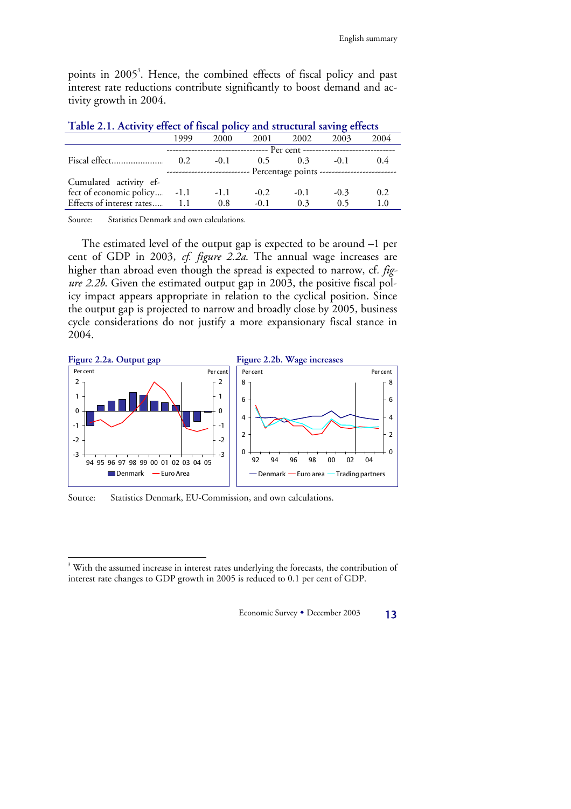points in 2005<sup>3</sup>. Hence, the combined effects of fiscal policy and past interest rate reductions contribute significantly to boost demand and activity growth in 2004.

| 1999                                                                       | 2000   |        | 2002   | 2003                     | 2004                                                                                                                                                       |  |  |  |
|----------------------------------------------------------------------------|--------|--------|--------|--------------------------|------------------------------------------------------------------------------------------------------------------------------------------------------------|--|--|--|
| --------------------------------    Per cent ----------------------------- |        |        |        |                          |                                                                                                                                                            |  |  |  |
| 0.2                                                                        | $-0.1$ |        |        | $-0.1$                   | 0.4                                                                                                                                                        |  |  |  |
|                                                                            |        |        |        |                          |                                                                                                                                                            |  |  |  |
|                                                                            |        |        |        |                          |                                                                                                                                                            |  |  |  |
| fect of economic policy -1.1                                               | $-1.1$ | $-0.2$ | $-0.1$ | $-0.3$                   | 0.2                                                                                                                                                        |  |  |  |
| Effects of interest rates 1.1                                              | 0.8    | $-0.1$ | 0.3    | 0.5                      | 1.0                                                                                                                                                        |  |  |  |
|                                                                            |        |        |        | 2001<br>$0.5 \qquad 0.3$ | <b>Table 2.1. ACTIVITY EFFECT OF HISCAL POLICY AREa STELCHERE SAVING EFFECTS</b><br>-------------------------- Percentage points ------------------------- |  |  |  |

| Table 2.1. Activity effect of fiscal policy and structural saving effects |  |  |  |  |
|---------------------------------------------------------------------------|--|--|--|--|
|                                                                           |  |  |  |  |

Source: Statistics Denmark and own calculations.

The estimated level of the output gap is expected to be around –1 per cent of GDP in 2003, *cf. figure 2.2a*. The annual wage increases are higher than abroad even though the spread is expected to narrow, cf*. figure 2.2b*. Given the estimated output gap in 2003, the positive fiscal policy impact appears appropriate in relation to the cyclical position. Since the output gap is projected to narrow and broadly close by 2005, business cycle considerations do not justify a more expansionary fiscal stance in 2004.



Source: Statistics Denmark, EU-Commission, and own calculations.

 $\overline{a}$ 

<sup>&</sup>lt;sup>3</sup> With the assumed increase in interest rates underlying the forecasts, the contribution of interest rate changes to GDP growth in 2005 is reduced to 0.1 per cent of GDP.